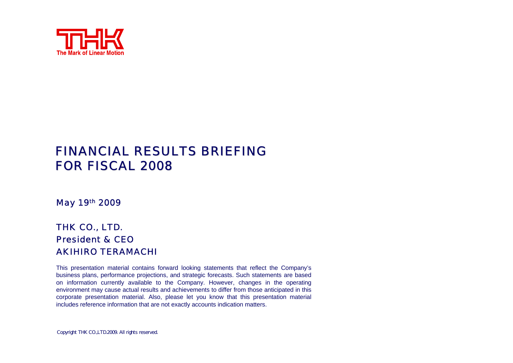

#### **FINANCIAL RESULTS BRIEFING** FOR FISCAL 2008

#### May 19th 2009

#### THK CO., LTD. President & CEOAKIHIRO TERAMACHI

This presentation material contains forward looking statements that reflect the Company's business plans, performance projections, and strategic forecasts. Such statements are based on information currently available to the Company. However, changes in the operating environment may cause actual results and achievements to differ from those anticipated in this corporate presentation material. Also, please let you know that this presentation material includes reference information that are not exactly accounts indication matters.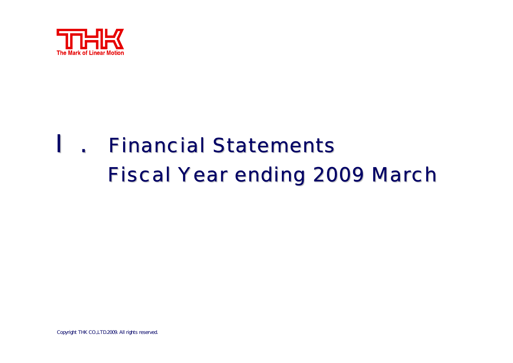

## .**Financial Statements Fiscal Year ending 2009 March**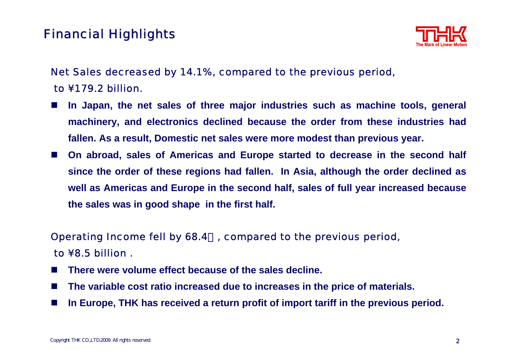## **Financial Highlights**



#### Net Sales decreased by 14.1%, compared to the previous period, to ¥179.2 billion.

- **Tale In Japan, the net sales of three major industries such as machine tools, general machinery, and electronics declined because the order from these industries had fallen. As a result, Domestic net sales were more modest than previous year.**
- a a s **On abroad, sales of Americas and Europe started to decrease in the second half since the order of these regions had fallen. In Asia, although the order declined as well as Americas and Europe in the second half, sales of full year increased because the sales was in good shape in the first half.**

#### Operating Income fell by 68.4%, compared to the previous period, to ¥8.5 billion .

- **Tale There were volume effect because of the sales decline.**
- ш **The variable cost ratio increased due to increases in the price of materials.**
- ш **In Europe, THK has received a return profit of import tariff in the previous period.**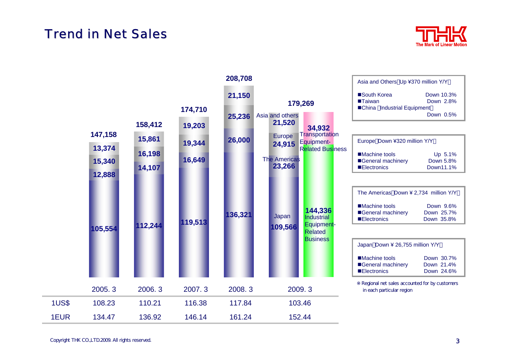#### **Trend in Net Sales**



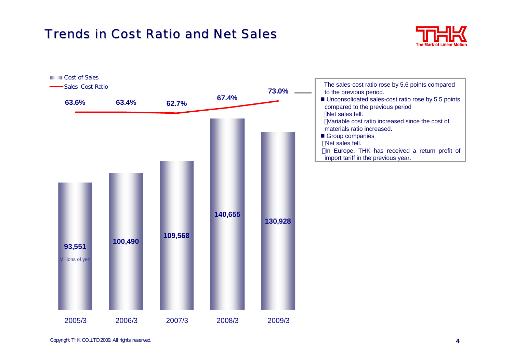## **Trends in Cost Ratio and Net Sales**



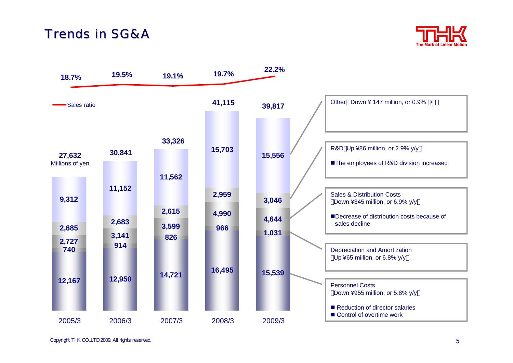#### Trends in SG&A



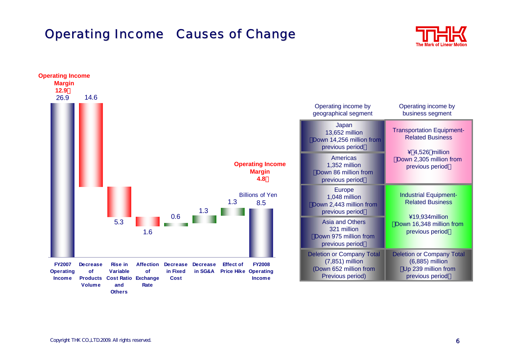#### **Operating Income Causes of Change**





**Others**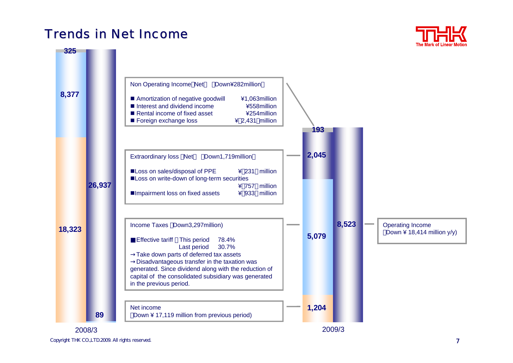#### Trends in Net Income



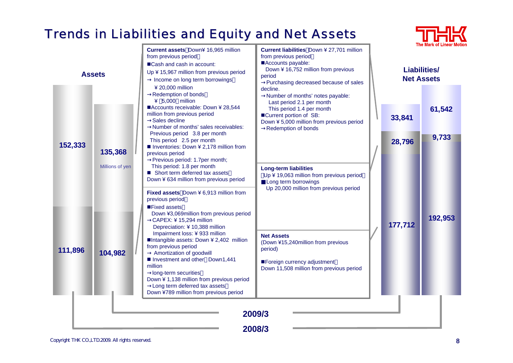## Trends in Liabilities and Equity and Net Assets

|               |                 |                                                                                                                                                                                                                                                                                                                                                                                                                                                                                                          |                                                                                                                                                                                                                                  |                                          |                  | <b>The Mark of Linear Moti</b> |
|---------------|-----------------|----------------------------------------------------------------------------------------------------------------------------------------------------------------------------------------------------------------------------------------------------------------------------------------------------------------------------------------------------------------------------------------------------------------------------------------------------------------------------------------------------------|----------------------------------------------------------------------------------------------------------------------------------------------------------------------------------------------------------------------------------|------------------------------------------|------------------|--------------------------------|
| <b>Assets</b> |                 | Current assets Down¥ 16,965 million<br>from previous period<br>■Cash and cash in account:<br>Up ¥ 15,967 million from previous period<br>Income on long term borrowings<br>$420,000$ million<br>Redemption of bonds                                                                                                                                                                                                                                                                                      | Current liabilities Down ¥ 27,701 million<br>from previous period<br>Accounts payable:<br>Down ¥ 16,752 million from previous<br>period<br>Purchasing decreased because of sales<br>decline.<br>Number of months' notes payable: | <b>Liabilities/</b><br><b>Net Assets</b> |                  |                                |
| 152,333       | 135,368         | $45,000$ million<br>■Accounts receivable: Down ¥ 28,544<br>million from previous period<br>Sales decline<br>Number of months' sales receivables:<br>Previous period 3.8 per month<br>This period 2.5 per month<br>Inventories: Down ¥ 2,178 million from<br>previous period<br>Previous period: 1.7per month;<br>This period: 1.8 per month<br>■ Short term deferred tax assets<br>Down ¥ 634 million from previous period<br>Fixed assets Down ¥ 6,913 million from<br>previous period<br>■Fixed assets | Last period 2.1 per month<br>This period 1.4 per month<br>■Current portion of SB:<br>Down ¥ 5,000 million from previous period<br>Redemption of bonds                                                                            |                                          | 33,841<br>28,796 | 61,542<br>9,733                |
|               | Millions of yen |                                                                                                                                                                                                                                                                                                                                                                                                                                                                                                          | <b>Long-term liabilities</b><br>Up ¥ 19,063 million from previous period<br>Long term borrowings<br>Up 20,000 million from previous period                                                                                       |                                          |                  |                                |
| 111,896       | 104,982         | Down ¥3,069million from previous period<br>CAPEX: ¥ 15,294 million<br>Depreciation: ¥ 10,388 million<br>Impairment loss: ¥ 933 million<br>■Intangible assets: Down ¥ 2,402 million<br>from previous period<br>Amortization of goodwill<br>Investment and other Down1,441<br>million<br>long-term securities<br>Down ¥ 1,138 million from previous period<br>Long term deferred tax assets                                                                                                                | <b>Net Assets</b><br>(Down ¥15,240million from previous<br>period)<br>■Foreign currency adjustment<br>Down 11,508 million from previous period                                                                                   |                                          | 177,712          | 192,953                        |
|               |                 | Down ¥789 million from previous period                                                                                                                                                                                                                                                                                                                                                                                                                                                                   | 2009/3<br>2008/3                                                                                                                                                                                                                 |                                          |                  |                                |

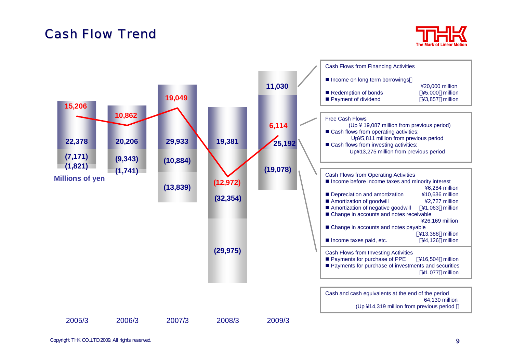#### **Cash Flow Trend**



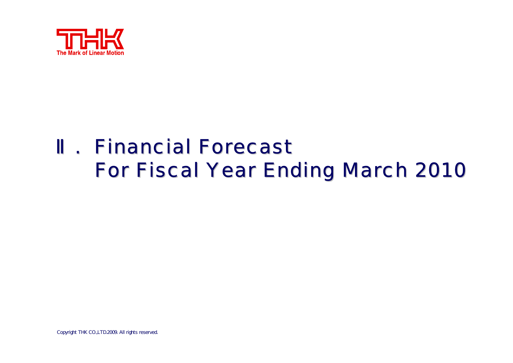

# . Financial Forecast **For Fiscal Year Ending March 2010**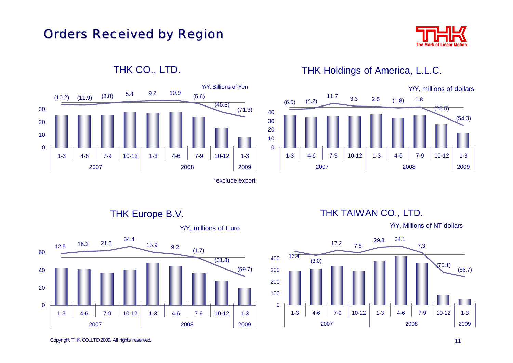

#### **Orders Received by Region**



#### THK CO., LTD.

#### THK Holdings of America, L.L.C.



THK Europe B.V.



Y/Y, millions of Euro

THK TAIWAN CO., LTD.

Y/Y, Millions of NT dollars

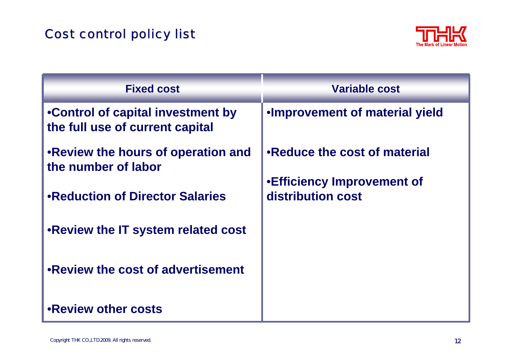## **Cost control policy list**



| <b>Fixed cost</b>                                                    | <b>Variable cost</b>                                                                    |  |
|----------------------------------------------------------------------|-----------------------------------------------------------------------------------------|--|
| •Control of capital investment by<br>the full use of current capital | . Improvement of material yield                                                         |  |
| • Review the hours of operation and<br>the number of labor           | •Reduce the cost of material<br><b>.</b> Efficiency Improvement of<br>distribution cost |  |
| •Reduction of Director Salaries                                      |                                                                                         |  |
| .Review the IT system related cost                                   |                                                                                         |  |
| .Review the cost of advertisement                                    |                                                                                         |  |
| <b>.Review other costs</b>                                           |                                                                                         |  |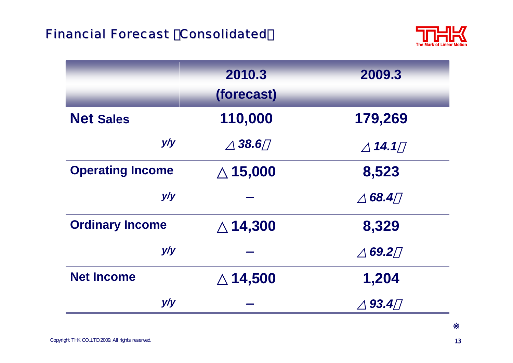## **Financial Forecast Consolidated**



|                         | 2010.3<br>(forecast) | 2009.3  |
|-------------------------|----------------------|---------|
| <b>Net Sales</b>        | 110,000              | 179,269 |
| y/y                     | 38.6                 | 14.1    |
| <b>Operating Income</b> | 15,000               | 8,523   |
| y/y                     |                      | 68.4    |
| <b>Ordinary Income</b>  | 14,300               | 8,329   |
| y/y                     |                      | 69.2    |
| <b>Net Income</b>       | 14,500               | 1,204   |
| y/y                     |                      | 93.4    |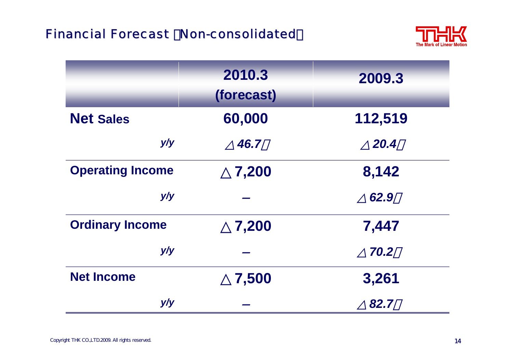

|                         | 2010.3<br>(forecast) | 2009.3  |
|-------------------------|----------------------|---------|
| <b>Net Sales</b>        | 60,000               | 112,519 |
| y/y                     | 46.7                 | 20.4    |
| <b>Operating Income</b> | 7,200                | 8,142   |
| y/y                     |                      | 62.9    |
| <b>Ordinary Income</b>  | 7,200                | 7,447   |
| y/y                     |                      | 70.2    |
| <b>Net Income</b>       | 7,500                | 3,261   |
| y/y                     |                      | 82.7    |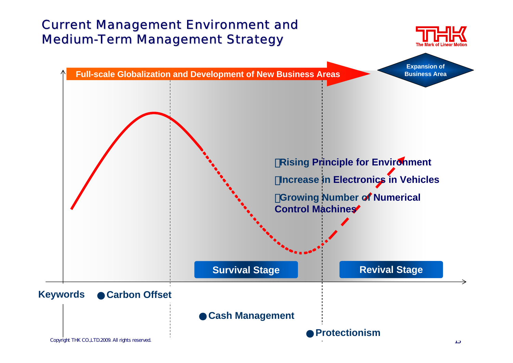#### **Current Management Environment and Medium-Term Management Strategy**



**Expansion of Business Area**

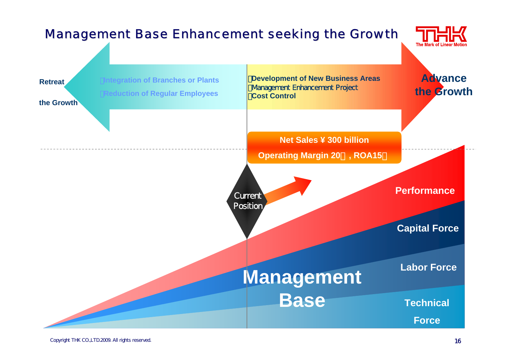#### **Management Base Enhancement seeking the Growth**



**Labor ForceTechnical ForceCapital Force Net Sales ¥ 300 billionOperating Margin 20**%**, ROA15**% **Integration of Branches or Plants** ・**Reduction of Regular Employees Example 3** Integration of Branches or Plants **Business Areas Advance Management Enhancement Project** ・**Cost ControlRetreatthe GrowthManagement BasePerformancethe Growth**Current Position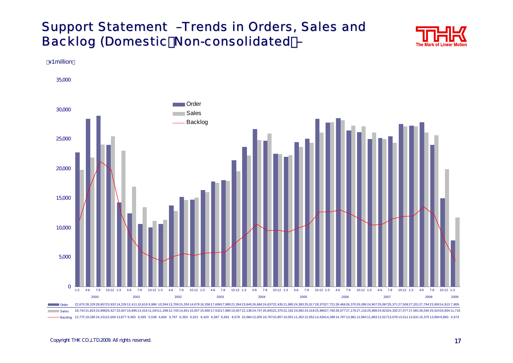#### Support Statement -Trends in Orders, Sales and Backlog (Domestic Non-consolidated -